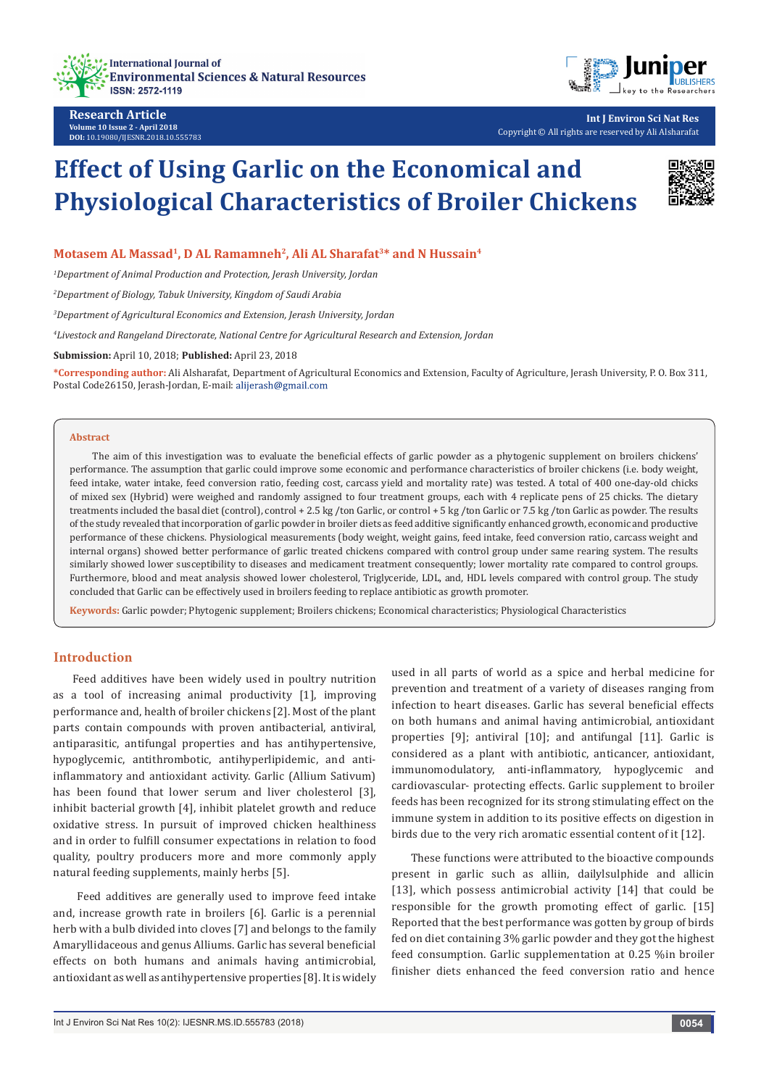



**Int J Environ Sci Nat Res** Copyright © All rights are reserved by Ali Alsharafat

# **Effect of Using Garlic on the Economical and Physiological Characteristics of Broiler Chickens**



## Motasem AL Massad<sup>1</sup>, D AL Ramamneh<sup>2</sup>, Ali AL Sharafat<sup>3\*</sup> and N Hussain<sup>4</sup>

*1 Department of Animal Production and Protection, Jerash University, Jordan*

*2 Department of Biology, Tabuk University, Kingdom of Saudi Arabia*

*3 Department of Agricultural Economics and Extension, Jerash University, Jordan*

*4 Livestock and Rangeland Directorate, National Centre for Agricultural Research and Extension, Jordan*

**Submission:** April 10, 2018; **Published:** April 23, 2018

**\*Corresponding author:** Ali Alsharafat, Department of Agricultural Economics and Extension, Faculty of Agriculture, Jerash University, P. O. Box 311, Postal Code26150, Jerash-Jordan, E-mail:

#### **Abstract**

 The aim of this investigation was to evaluate the beneficial effects of garlic powder as a phytogenic supplement on broilers chickens' performance. The assumption that garlic could improve some economic and performance characteristics of broiler chickens (i.e. body weight, feed intake, water intake, feed conversion ratio, feeding cost, carcass yield and mortality rate) was tested. A total of 400 one-day-old chicks of mixed sex (Hybrid) were weighed and randomly assigned to four treatment groups, each with 4 replicate pens of 25 chicks. The dietary treatments included the basal diet (control), control + 2.5 kg /ton Garlic, or control + 5 kg /ton Garlic or 7.5 kg /ton Garlic as powder. The results of the study revealed that incorporation of garlic powder in broiler diets as feed additive significantly enhanced growth, economic and productive performance of these chickens. Physiological measurements (body weight, weight gains, feed intake, feed conversion ratio, carcass weight and internal organs) showed better performance of garlic treated chickens compared with control group under same rearing system. The results similarly showed lower susceptibility to diseases and medicament treatment consequently; lower mortality rate compared to control groups. Furthermore, blood and meat analysis showed lower cholesterol, Triglyceride, LDL, and, HDL levels compared with control group. The study concluded that Garlic can be effectively used in broilers feeding to replace antibiotic as growth promoter.

**Keywords:** Garlic powder; Phytogenic supplement; Broilers chickens; Economical characteristics; Physiological Characteristics

## **Introduction**

Feed additives have been widely used in poultry nutrition as a tool of increasing animal productivity [1], improving performance and, health of broiler chickens [2]. Most of the plant parts contain compounds with proven antibacterial, antiviral, antiparasitic, antifungal properties and has antihypertensive, hypoglycemic, antithrombotic, antihyperlipidemic, and antiinflammatory and antioxidant activity. Garlic (Allium Sativum) has been found that lower serum and liver cholesterol [3], inhibit bacterial growth [4], inhibit platelet growth and reduce oxidative stress. In pursuit of improved chicken healthiness and in order to fulfill consumer expectations in relation to food quality, poultry producers more and more commonly apply natural feeding supplements, mainly herbs [5].

 Feed additives are generally used to improve feed intake and, increase growth rate in broilers [6]. Garlic is a perennial herb with a bulb divided into cloves [7] and belongs to the family Amaryllidaceous and genus Alliums. Garlic has several beneficial effects on both humans and animals having antimicrobial, antioxidant as well as antihypertensive properties [8]. It is widely

used in all parts of world as a spice and herbal medicine for prevention and treatment of a variety of diseases ranging from infection to heart diseases. Garlic has several beneficial effects on both humans and animal having antimicrobial, antioxidant properties [9]; antiviral [10]; and antifungal [11]. Garlic is considered as a plant with antibiotic, anticancer, antioxidant, immunomodulatory, anti-inflammatory, hypoglycemic and cardiovascular- protecting effects. Garlic supplement to broiler feeds has been recognized for its strong stimulating effect on the immune system in addition to its positive effects on digestion in birds due to the very rich aromatic essential content of it [12].

These functions were attributed to the bioactive compounds present in garlic such as alliin, dailylsulphide and allicin [13], which possess antimicrobial activity [14] that could be responsible for the growth promoting effect of garlic. [15] Reported that the best performance was gotten by group of birds fed on diet containing 3% garlic powder and they got the highest feed consumption. Garlic supplementation at 0.25 %in broiler finisher diets enhanced the feed conversion ratio and hence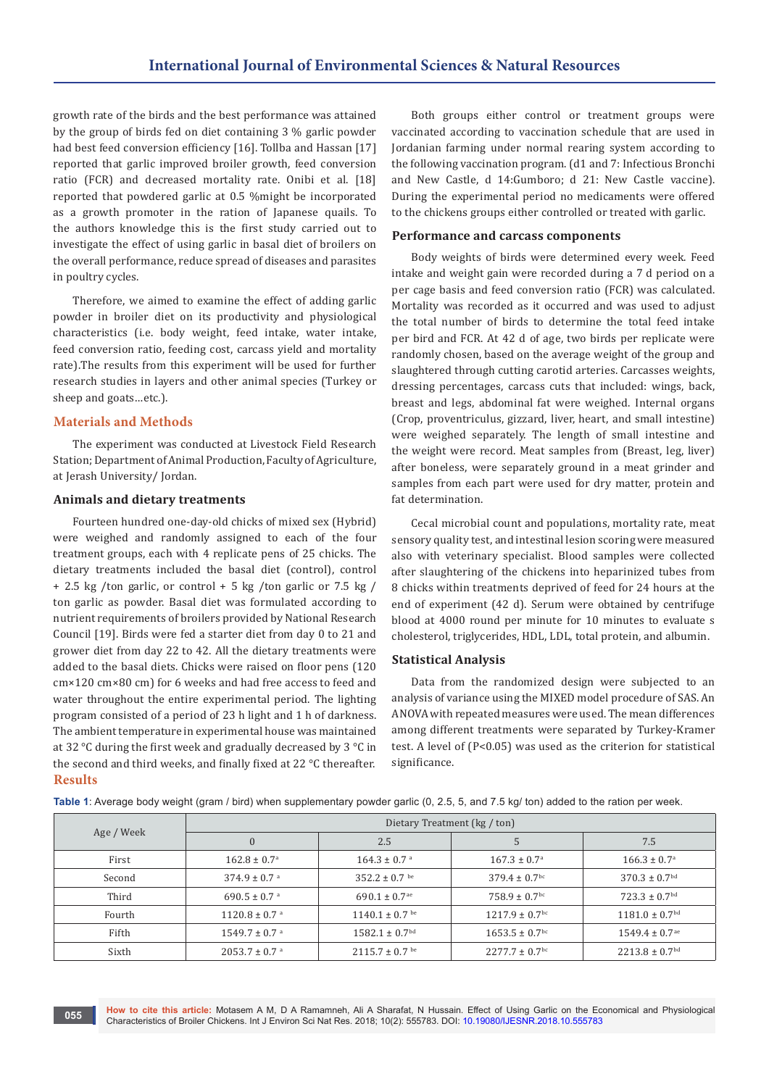growth rate of the birds and the best performance was attained by the group of birds fed on diet containing 3 % garlic powder had best feed conversion efficiency [16]. Tollba and Hassan [17] reported that garlic improved broiler growth, feed conversion ratio (FCR) and decreased mortality rate. Onibi et al. [18] reported that powdered garlic at 0.5 %might be incorporated as a growth promoter in the ration of Japanese quails. To the authors knowledge this is the first study carried out to investigate the effect of using garlic in basal diet of broilers on the overall performance, reduce spread of diseases and parasites in poultry cycles.

Therefore, we aimed to examine the effect of adding garlic powder in broiler diet on its productivity and physiological characteristics (i.e. body weight, feed intake, water intake, feed conversion ratio, feeding cost, carcass yield and mortality rate).The results from this experiment will be used for further research studies in layers and other animal species (Turkey or sheep and goats…etc.).

#### **Materials and Methods**

The experiment was conducted at Livestock Field Research Station; Department of Animal Production, Faculty of Agriculture, at Jerash University/ Jordan.

#### **Animals and dietary treatments**

Fourteen hundred one-day-old chicks of mixed sex (Hybrid) were weighed and randomly assigned to each of the four treatment groups, each with 4 replicate pens of 25 chicks. The dietary treatments included the basal diet (control), control + 2.5 kg /ton garlic, or control + 5 kg /ton garlic or 7.5 kg / ton garlic as powder. Basal diet was formulated according to nutrient requirements of broilers provided by National Research Council [19]. Birds were fed a starter diet from day 0 to 21 and grower diet from day 22 to 42. All the dietary treatments were added to the basal diets. Chicks were raised on floor pens (120 cm×120 cm×80 cm) for 6 weeks and had free access to feed and water throughout the entire experimental period. The lighting program consisted of a period of 23 h light and 1 h of darkness. The ambient temperature in experimental house was maintained at 32 °C during the first week and gradually decreased by 3 °C in the second and third weeks, and finally fixed at 22 °C thereafter. **Results**

Both groups either control or treatment groups were vaccinated according to vaccination schedule that are used in Jordanian farming under normal rearing system according to the following vaccination program. (d1 and 7: Infectious Bronchi and New Castle, d 14:Gumboro; d 21: New Castle vaccine). During the experimental period no medicaments were offered to the chickens groups either controlled or treated with garlic.

#### **Performance and carcass components**

Body weights of birds were determined every week. Feed intake and weight gain were recorded during a 7 d period on a per cage basis and feed conversion ratio (FCR) was calculated. Mortality was recorded as it occurred and was used to adjust the total number of birds to determine the total feed intake per bird and FCR. At 42 d of age, two birds per replicate were randomly chosen, based on the average weight of the group and slaughtered through cutting carotid arteries. Carcasses weights, dressing percentages, carcass cuts that included: wings, back, breast and legs, abdominal fat were weighed. Internal organs (Crop, proventriculus, gizzard, liver, heart, and small intestine) were weighed separately. The length of small intestine and the weight were record. Meat samples from (Breast, leg, liver) after boneless, were separately ground in a meat grinder and samples from each part were used for dry matter, protein and fat determination.

Cecal microbial count and populations, mortality rate, meat sensory quality test, and intestinal lesion scoring were measured also with veterinary specialist. Blood samples were collected after slaughtering of the chickens into heparinized tubes from 8 chicks within treatments deprived of feed for 24 hours at the end of experiment (42 d). Serum were obtained by centrifuge blood at 4000 round per minute for 10 minutes to evaluate s cholesterol, triglycerides, HDL, LDL, total protein, and albumin.

#### **Statistical Analysis**

Data from the randomized design were subjected to an analysis of variance using the MIXED model procedure of SAS. An ANOVA with repeated measures were used. The mean differences among different treatments were separated by Turkey-Kramer test. A level of (P<0.05) was used as the criterion for statistical significance.

| Age / Week | Dietary Treatment (kg / ton)  |                                |                                |                                |  |
|------------|-------------------------------|--------------------------------|--------------------------------|--------------------------------|--|
|            | $\mathbf{0}$                  | 2.5                            | C                              | 7.5                            |  |
| First      | $162.8 \pm 0.7^{\circ}$       | $164.3 \pm 0.7$ <sup>a</sup>   | $167.3 \pm 0.7^{\circ}$        | $166.3 \pm 0.7^{\circ}$        |  |
| Second     | $374.9 \pm 0.7$ <sup>a</sup>  | $352.2 \pm 0.7$ be             | $379.4 \pm 0.7$ <sup>bc</sup>  | $370.3 \pm 0.7$ <sup>bd</sup>  |  |
| Third      | 690.5 $\pm$ 0.7 a             | $690.1 \pm 0.7$ <sup>ae</sup>  | $758.9 \pm 0.7$ <sup>bc</sup>  | $723.3 \pm 0.7$ <sup>bd</sup>  |  |
| Fourth     | $1120.8 \pm 0.7$ <sup>a</sup> | $1140.1 \pm 0.7$ be            | $1217.9 \pm 0.7$ <sup>bc</sup> | $1181.0 \pm 0.7$ <sup>bd</sup> |  |
| Fifth      | $1549.7 \pm 0.7$ <sup>a</sup> | $1582.1 \pm 0.7$ <sup>bd</sup> | $1653.5 \pm 0.7$ <sup>bc</sup> | $1549.4 \pm 0.7$ <sup>ae</sup> |  |
| Sixth      | $2053.7 \pm 0.7$ <sup>a</sup> | $2115.7 \pm 0.7$ be            | $2277.7 \pm 0.7$ <sup>bc</sup> | $2213.8 \pm 0.7$ <sup>bd</sup> |  |

**Table 1**: Average body weight (gram / bird) when supplementary powder garlic (0, 2.5, 5, and 7.5 kg/ ton) added to the ration per week.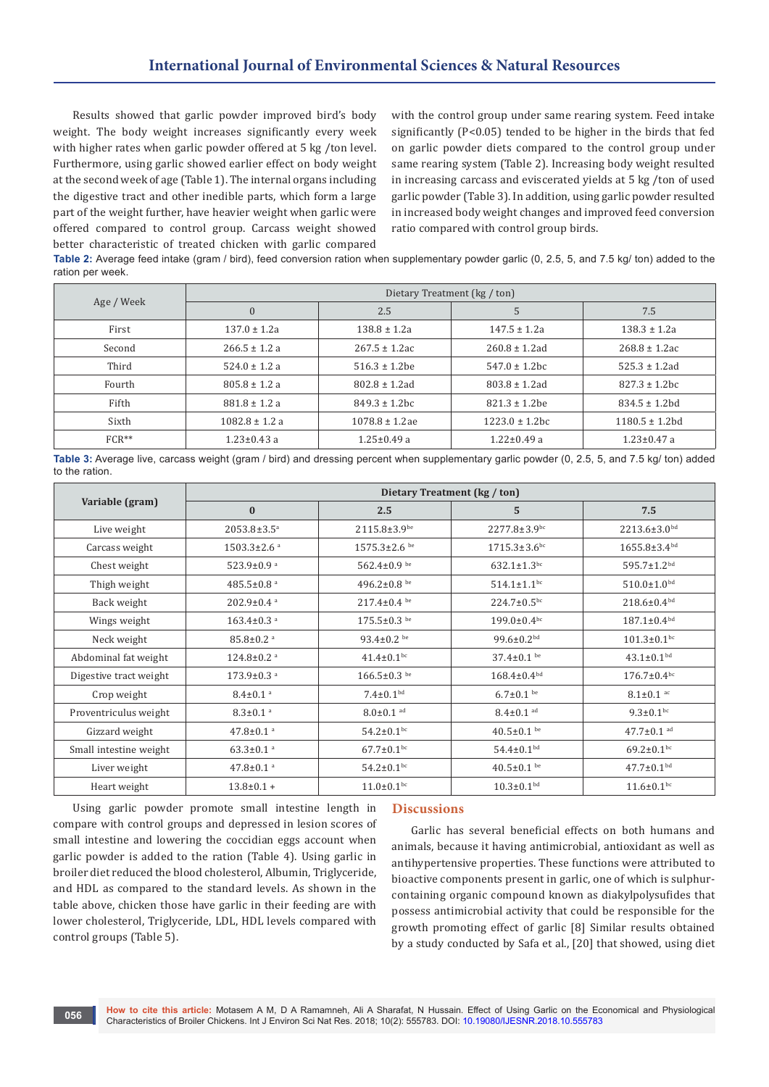Results showed that garlic powder improved bird's body weight. The body weight increases significantly every week with higher rates when garlic powder offered at 5 kg /ton level. Furthermore, using garlic showed earlier effect on body weight at the second week of age (Table 1). The internal organs including the digestive tract and other inedible parts, which form a large part of the weight further, have heavier weight when garlic were offered compared to control group. Carcass weight showed better characteristic of treated chicken with garlic compared

with the control group under same rearing system. Feed intake significantly (P<0.05) tended to be higher in the birds that fed on garlic powder diets compared to the control group under same rearing system (Table 2). Increasing body weight resulted in increasing carcass and eviscerated yields at 5 kg /ton of used garlic powder (Table 3). In addition, using garlic powder resulted in increased body weight changes and improved feed conversion ratio compared with control group birds.

**Table 2:** Average feed intake (gram / bird), feed conversion ration when supplementary powder garlic (0, 2.5, 5, and 7.5 kg/ ton) added to the ration per week.

| Age / Week | Dietary Treatment (kg / ton) |                     |                     |                     |  |
|------------|------------------------------|---------------------|---------------------|---------------------|--|
|            | $\bf{0}$                     | 2.5                 | 5                   | 7.5                 |  |
| First      | $137.0 \pm 1.2a$             | $138.8 \pm 1.2a$    | $147.5 \pm 1.2a$    | $138.3 \pm 1.2a$    |  |
| Second     | $266.5 \pm 1.2 a$            | $267.5 \pm 1.2$ ac  | $260.8 \pm 1.2$ ad  | $268.8 \pm 1.2$ ac  |  |
| Third      | $524.0 \pm 1.2 a$            | $516.3 \pm 1.2$ be  | $547.0 \pm 1.2$ bc  | $525.3 \pm 1.2$ ad  |  |
| Fourth     | $805.8 \pm 1.2 a$            | $802.8 \pm 1.2$ ad  | $803.8 \pm 1.2$ ad  | $827.3 \pm 1.2$ bc  |  |
| Fifth      | $881.8 \pm 1.2 a$            | $849.3 \pm 1.2$ bc  | $821.3 \pm 1.2$ be  | $834.5 \pm 1.2hd$   |  |
| Sixth      | $1082.8 \pm 1.2$ a           | $1078.8 \pm 1.2$ ae | $1223.0 \pm 1.2$ bc | $1180.5 \pm 1.2$ hd |  |
| $FCR**$    | $1.23 \pm 0.43$ a            | $1.25 \pm 0.49$ a   | $1.22 \pm 0.49$ a   | $1.23 \pm 0.47$ a   |  |

**Table 3:** Average live, carcass weight (gram / bird) and dressing percent when supplementary garlic powder (0, 2.5, 5, and 7.5 kg/ ton) added to the ration.

|                        | Dietary Treatment (kg / ton)  |                              |                              |                                |  |
|------------------------|-------------------------------|------------------------------|------------------------------|--------------------------------|--|
| Variable (gram)        | 2.5<br>$\bf{0}$               |                              | 5                            | 7.5                            |  |
| Live weight            | $2053.8 \pm 3.5^a$            | $2115.8 \pm 3.9$ be          | $2277.8 \pm 3.9$ bc          | 2213.6±3.0bd                   |  |
| Carcass weight         | $1503.3 \pm 2.6$ <sup>a</sup> | $1575.3 \pm 2.6$ be          | $1715.3 \pm 3.6$ bc          | $1655.8 \pm 3.4$ <sup>bd</sup> |  |
| Chest weight           | 523.9 $\pm$ 0.9 $a$           | 562.4 $\pm$ 0.9 be           | $632.1 \pm 1.3$ bc           | $595.7 \pm 1.2^{bd}$           |  |
| Thigh weight           | 485.5±0.8 $a$                 | 496.2 $\pm$ 0.8 be           | $514.1 \pm 1.1$ bc           | $510.0 \pm 1.0^{bd}$           |  |
| Back weight            | $202.9 \pm 0.4$ <sup>a</sup>  | $217.4 \pm 0.4$ be           | $224.7 \pm 0.5^{bc}$         | $218.6 \pm 0.4^{bd}$           |  |
| Wings weight           | $163.4 \pm 0.3$ <sup>a</sup>  | $175.5 \pm 0.3$ be           | $199.0 \pm 0.4$ bc           | $187.1 \pm 0.4^{bd}$           |  |
| Neck weight            | $85.8 \pm 0.2$ <sup>a</sup>   | 93.4 $\pm$ 0.2 be            | 99.6 $\pm$ 0.2 <sup>bd</sup> | $101.3 \pm 0.1$ bc             |  |
| Abdominal fat weight   | $124.8 \pm 0.2$ <sup>a</sup>  | $41.4 \pm 0.1$ <sup>bc</sup> | $37.4 \pm 0.1$ be            | $43.1 \pm 0.1$ <sup>bd</sup>   |  |
| Digestive tract weight | $173.9 \pm 0.3$ <sup>a</sup>  | $166.5 \pm 0.3$ be           | $168.4 \pm 0.4^{bd}$         | $176.7 \pm 0.4$ bc             |  |
| Crop weight            | $8.4 \pm 0.1$ <sup>a</sup>    | $7.4 \pm 0.1$ <sup>bd</sup>  | $6.7 \pm 0.1$ be             | $8.1 \pm 0.1$ ac               |  |
| Proventriculus weight  | $8.3 \pm 0.1$ <sup>a</sup>    | $8.0 \pm 0.1$ ad             | $8.4 \pm 0.1$ ad             | $9.3 \pm 0.1$ bc               |  |
| Gizzard weight         | $47.8 \pm 0.1$ <sup>a</sup>   | $54.2 \pm 0.1$ bc            | $40.5 \pm 0.1$ be            | $47.7 \pm 0.1$ ad              |  |
| Small intestine weight | $63.3 \pm 0.1$ <sup>a</sup>   | $67.7 \pm 0.1$ bc            | $54.4 \pm 0.1$ <sup>bd</sup> | $69.2 \pm 0.1$ bc              |  |
| Liver weight           | $47.8 \pm 0.1$ <sup>a</sup>   | $54.2 \pm 0.1$ bc            | $40.5 \pm 0.1$ be            | $47.7 \pm 0.1$ <sup>bd</sup>   |  |
| Heart weight           | $13.8 \pm 0.1 +$              | $11.0 \pm 0.1$ <sub>bc</sub> | $10.3 \pm 0.1$ <sup>bd</sup> | $11.6 \pm 0.1$ bc              |  |

Using garlic powder promote small intestine length in compare with control groups and depressed in lesion scores of small intestine and lowering the coccidian eggs account when garlic powder is added to the ration (Table 4). Using garlic in broiler diet reduced the blood cholesterol, Albumin, Triglyceride, and HDL as compared to the standard levels. As shown in the table above, chicken those have garlic in their feeding are with lower cholesterol, Triglyceride, LDL, HDL levels compared with control groups (Table 5).

### **Discussions**

Garlic has several beneficial effects on both humans and animals, because it having antimicrobial, antioxidant as well as antihypertensive properties. These functions were attributed to bioactive components present in garlic, one of which is sulphurcontaining organic compound known as diakylpolysufides that possess antimicrobial activity that could be responsible for the growth promoting effect of garlic [8] Similar results obtained by a study conducted by Safa et al., [20] that showed, using diet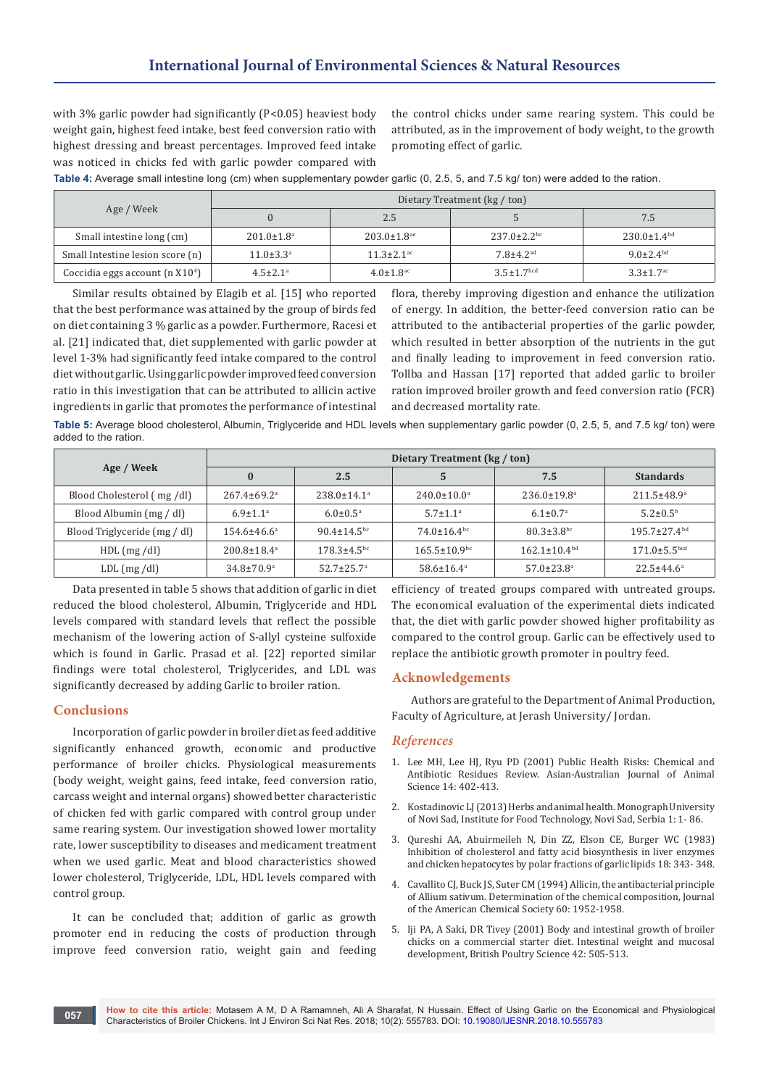with 3% garlic powder had significantly (P<0.05) heaviest body weight gain, highest feed intake, best feed conversion ratio with highest dressing and breast percentages. Improved feed intake was noticed in chicks fed with garlic powder compared with

the control chicks under same rearing system. This could be attributed, as in the improvement of body weight, to the growth promoting effect of garlic.

**Table 4:** Average small intestine long (cm) when supplementary powder garlic (0, 2.5, 5, and 7.5 kg/ ton) were added to the ration.

|                                  | Dietary Treatment (kg / ton) |                               |                               |                             |  |
|----------------------------------|------------------------------|-------------------------------|-------------------------------|-----------------------------|--|
| Age / Week                       |                              | 2.5                           |                               | 7.5                         |  |
| Small intestine long (cm)        | $201.0 \pm 1.8$ <sup>a</sup> | $203.0 \pm 1.8$ <sup>ae</sup> | $237.0 \pm 2.2$ <sup>bc</sup> | $230.0 \pm 1.4^{bd}$        |  |
| Small Intestine lesion score (n) | $11.0 \pm 3.3^{\circ}$       | $11.3 \pm 2.1$ <sup>ac</sup>  | $7.8 \pm 4.2$ <sup>ad</sup>   | 9.0 $\pm$ 2.4 <sup>bd</sup> |  |
| Coccidia eggs account $(n X104)$ | $4.5 \pm 2.1$ <sup>a</sup>   | $4.0 \pm 1.8$ <sup>ac</sup>   | $3.5 + 1.7$ <sup>bcd</sup>    | $3.3 \pm 1.7$ <sup>ac</sup> |  |

Similar results obtained by Elagib et al. [15] who reported that the best performance was attained by the group of birds fed on diet containing 3 % garlic as a powder. Furthermore, Racesi et al. [21] indicated that, diet supplemented with garlic powder at level 1-3% had significantly feed intake compared to the control diet without garlic. Using garlic powder improved feed conversion ratio in this investigation that can be attributed to allicin active ingredients in garlic that promotes the performance of intestinal

flora, thereby improving digestion and enhance the utilization of energy. In addition, the better-feed conversion ratio can be attributed to the antibacterial properties of the garlic powder, which resulted in better absorption of the nutrients in the gut and finally leading to improvement in feed conversion ratio. Tollba and Hassan [17] reported that added garlic to broiler ration improved broiler growth and feed conversion ratio (FCR) and decreased mortality rate.

**Table 5:** Average blood cholesterol, Albumin, Triglyceride and HDL levels when supplementary garlic powder (0, 2.5, 5, and 7.5 kg/ ton) were added to the ration.

|                              | Dietary Treatment (kg / ton)  |                               |                                |                               |                                |
|------------------------------|-------------------------------|-------------------------------|--------------------------------|-------------------------------|--------------------------------|
| Age / Week                   | $\bf{0}$                      | 2.5                           | 5                              | 7.5                           | <b>Standards</b>               |
| Blood Cholesterol (mg/dl)    | $267.4 \pm 69.2$ <sup>a</sup> | $238.0 \pm 14.1$ <sup>a</sup> | $240.0 \pm 10.0^a$             | $236.0 \pm 19.8$ <sup>a</sup> | $211.5 \pm 48.9^{\circ}$       |
| Blood Albumin (mg / dl)      | $6.9 \pm 1.1$ <sup>a</sup>    | $6.0 \pm 0.5^{\circ}$         | $5.7 \pm 1.1$ <sup>a</sup>     | $6.1 \pm 0.7^{\text{a}}$      | $5.2 \pm 0.5^{\rm b}$          |
| Blood Triglyceride (mg / dl) | $154.6 \pm 46.6^a$            | 90.4 $\pm$ 14.5 <sup>bc</sup> | $74.0 \pm 16.4$ <sup>bc</sup>  | $80.3 \pm 3.8$ <sup>bc</sup>  | $195.7 \pm 27.4$ <sup>bd</sup> |
| $HDL$ (mg /dl)               | $200.8 \pm 18.4$ <sup>a</sup> | $178.3 \pm 4.5$ <sup>bc</sup> | $165.5 \pm 10.9$ <sup>bc</sup> | $162.1 \pm 10.4^{bd}$         | $171.0 \pm 5.5$ <sub>bcd</sub> |
| $LDL$ (mg /dl)               | $34.8 \pm 70.9^{\circ}$       | $52.7 \pm 25.7^{\circ}$       | $58.6 \pm 16.4^{\circ}$        | $57.0 \pm 23.8^{\circ}$       | $22.5 \pm 44.6^a$              |

Data presented in table 5 shows that addition of garlic in diet reduced the blood cholesterol, Albumin, Triglyceride and HDL levels compared with standard levels that reflect the possible mechanism of the lowering action of S-allyl cysteine sulfoxide which is found in Garlic. Prasad et al. [22] reported similar findings were total cholesterol, Triglycerides, and LDL was significantly decreased by adding Garlic to broiler ration.

## **Conclusions**

Incorporation of garlic powder in broiler diet as feed additive significantly enhanced growth, economic and productive performance of broiler chicks. Physiological measurements (body weight, weight gains, feed intake, feed conversion ratio, carcass weight and internal organs) showed better characteristic of chicken fed with garlic compared with control group under same rearing system. Our investigation showed lower mortality rate, lower susceptibility to diseases and medicament treatment when we used garlic. Meat and blood characteristics showed lower cholesterol, Triglyceride, LDL, HDL levels compared with control group.

It can be concluded that; addition of garlic as growth promoter end in reducing the costs of production through improve feed conversion ratio, weight gain and feeding efficiency of treated groups compared with untreated groups. The economical evaluation of the experimental diets indicated that, the diet with garlic powder showed higher profitability as compared to the control group. Garlic can be effectively used to replace the antibiotic growth promoter in poultry feed.

### **Acknowledgements**

Authors are grateful to the Department of Animal Production, Faculty of Agriculture, at Jerash University/ Jordan.

#### *References*

- 1. [Lee MH, Lee HJ, Ryu PD \(2001\) Public Health Risks: Chemical and](https://www.ajas.info/journal/view.php?number=19850)  [Antibiotic Residues Review. Asian-Australian Journal of Animal](https://www.ajas.info/journal/view.php?number=19850)  [Science 14: 402-413.](https://www.ajas.info/journal/view.php?number=19850)
- 2. Kostadinovic LJ (2013) Herbs and animal health. Monograph University of Novi Sad, Institute for Food Technology, Novi Sad, Serbia 1: 1- 86.
- 3. [Qureshi AA, Abuirmeileh N, Din ZZ, Elson CE, Burger WC \(1983\)](https://www.ncbi.nlm.nih.gov/pubmed/6877039)  [Inhibition of cholesterol and fatty acid biosynthesis in liver enzymes](https://www.ncbi.nlm.nih.gov/pubmed/6877039)  [and chicken hepatocytes by polar fractions of garlic lipids 18: 343- 348.](https://www.ncbi.nlm.nih.gov/pubmed/6877039)
- 4. [Cavallito CJ, Buck JS, Suter CM \(1994\) Allicin, the antibacterial principle](https://pubs.acs.org/doi/abs/10.1021/ja01239a049)  [of Allium sativum. Determination of the chemical composition, Journal](https://pubs.acs.org/doi/abs/10.1021/ja01239a049)  [of the American Chemical Society 60: 1952-1958.](https://pubs.acs.org/doi/abs/10.1021/ja01239a049)
- 5. [Iji PA, A Saki, DR Tivey \(2001\) Body and intestinal growth of broiler](https://www.ncbi.nlm.nih.gov/pubmed/11572627)  [chicks on a commercial starter diet. Intestinal weight and mucosal](https://www.ncbi.nlm.nih.gov/pubmed/11572627)  [development, British Poultry Science 42: 505-513.](https://www.ncbi.nlm.nih.gov/pubmed/11572627)